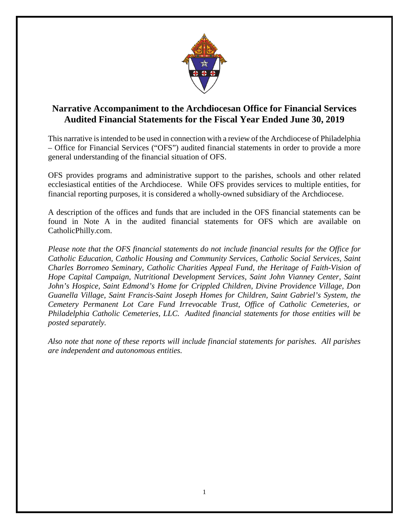

## **Narrative Accompaniment to the Archdiocesan Office for Financial Services Audited Financial Statements for the Fiscal Year Ended June 30, 2019**

This narrative is intended to be used in connection with a review of the Archdiocese of Philadelphia – Office for Financial Services ("OFS") audited financial statements in order to provide a more general understanding of the financial situation of OFS.

OFS provides programs and administrative support to the parishes, schools and other related ecclesiastical entities of the Archdiocese. While OFS provides services to multiple entities, for financial reporting purposes, it is considered a wholly-owned subsidiary of the Archdiocese.

A description of the offices and funds that are included in the OFS financial statements can be found in Note A in the audited financial statements for OFS which are available on CatholicPhilly.com.

*Please note that the OFS financial statements do not include financial results for the Office for Catholic Education, Catholic Housing and Community Services, Catholic Social Services, Saint Charles Borromeo Seminary, Catholic Charities Appeal Fund, the Heritage of Faith-Vision of Hope Capital Campaign, Nutritional Development Services, Saint John Vianney Center, Saint John's Hospice, Saint Edmond's Home for Crippled Children, Divine Providence Village, Don Guanella Village, Saint Francis-Saint Joseph Homes for Children, Saint Gabriel's System, the Cemetery Permanent Lot Care Fund Irrevocable Trust, Office of Catholic Cemeteries, or Philadelphia Catholic Cemeteries, LLC. Audited financial statements for those entities will be posted separately.*

*Also note that none of these reports will include financial statements for parishes. All parishes are independent and autonomous entities.*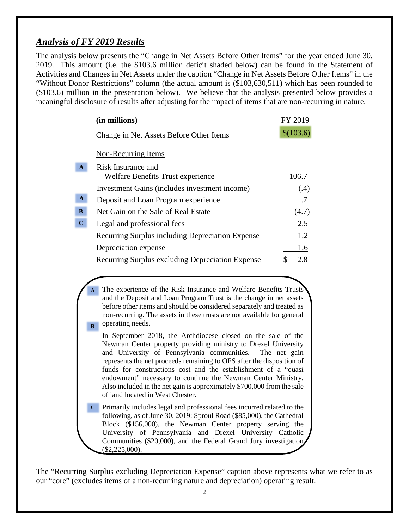### *Analysis of FY 2019 Results*

The analysis below presents the "Change in Net Assets Before Other Items" for the year ended June 30, 2019. This amount (i.e. the \$103.6 million deficit shaded below) can be found in the Statement of Activities and Changes in Net Assets under the caption "Change in Net Assets Before Other Items" in the "Without Donor Restrictions" column (the actual amount is (\$103,630,511) which has been rounded to (\$103.6) million in the presentation below). We believe that the analysis presented below provides a meaningful disclosure of results after adjusting for the impact of items that are non-recurring in nature.

|              | (in millions)                                    | FY 2019   |
|--------------|--------------------------------------------------|-----------|
|              | Change in Net Assets Before Other Items          | \$(103.6) |
|              | Non-Recurring Items                              |           |
| A            | Risk Insurance and                               |           |
|              | Welfare Benefits Trust experience                | 106.7     |
|              | Investment Gains (includes investment income)    | (.4)      |
| $\mathbf{A}$ | Deposit and Loan Program experience              | .7        |
| $\bf{B}$     | Net Gain on the Sale of Real Estate              | (4.7)     |
| $\mathbf C$  | Legal and professional fees                      | 2.5       |
|              | Recurring Surplus including Depreciation Expense | 1.2       |
|              | Depreciation expense                             | 1.6       |
|              | Recurring Surplus excluding Depreciation Expense | 2.8       |

The experience of the Risk Insurance and Welfare Benefits Trusts and the Deposit and Loan Program Trust is the change in net assets before other items and should be considered separately and treated as non-recurring. The assets in these trusts are not available for general operating needs. **A B**

- In September 2018, the Archdiocese closed on the sale of the Newman Center property providing ministry to Drexel University and University of Pennsylvania communities. The net gain represents the net proceeds remaining to OFS after the disposition of funds for constructions cost and the establishment of a "quasi endowment" necessary to continue the Newman Center Ministry. Also included in the net gain is approximately \$700,000 from the sale of land located in West Chester.
- Primarily includes legal and professional fees incurred related to the following, as of June 30, 2019: Sproul Road (\$85,000), the Cathedral Block (\$156,000), the Newman Center property serving the University of Pennsylvania and Drexel University Catholic Communities (\$20,000), and the Federal Grand Jury investigation (\$2,225,000). **C**

The "Recurring Surplus excluding Depreciation Expense" caption above represents what we refer to as our "core" (excludes items of a non-recurring nature and depreciation) operating result.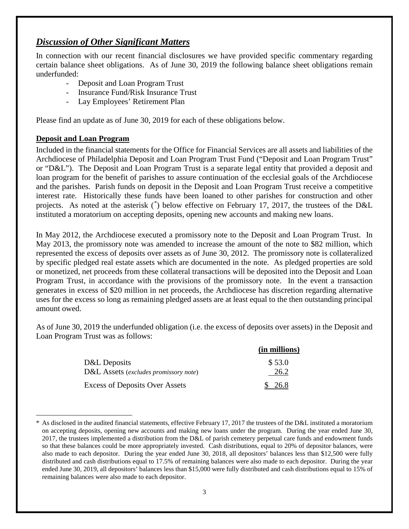# *Discussion of Other Significant Matters*

In connection with our recent financial disclosures we have provided specific commentary regarding certain balance sheet obligations. As of June 30, 2019 the following balance sheet obligations remain underfunded:

- Deposit and Loan Program Trust
- Insurance Fund/Risk Insurance Trust
- Lay Employees' Retirement Plan

Please find an update as of June 30, 2019 for each of these obligations below.

#### **Deposit and Loan Program**

<span id="page-2-0"></span> $\overline{a}$ 

Included in the financial statements for the Office for Financial Services are all assets and liabilities of the Archdiocese of Philadelphia Deposit and Loan Program Trust Fund ("Deposit and Loan Program Trust" or "D&L"). The Deposit and Loan Program Trust is a separate legal entity that provided a deposit and loan program for the benefit of parishes to assure continuation of the ecclesial goals of the Archdiocese and the parishes. Parish funds on deposit in the Deposit and Loan Program Trust receive a competitive interest rate. Historically these funds have been loaned to other parishes for construction and other projects. As noted at the asterisk ([\\*](#page-2-0)) below effective on February 17, 2017, the trustees of the D&L instituted a moratorium on accepting deposits, opening new accounts and making new loans.

In May 2012, the Archdiocese executed a promissory note to the Deposit and Loan Program Trust. In May 2013, the promissory note was amended to increase the amount of the note to \$82 million, which represented the excess of deposits over assets as of June 30, 2012. The promissory note is collateralized by specific pledged real estate assets which are documented in the note. As pledged properties are sold or monetized, net proceeds from these collateral transactions will be deposited into the Deposit and Loan Program Trust, in accordance with the provisions of the promissory note. In the event a transaction generates in excess of \$20 million in net proceeds, the Archdiocese has discretion regarding alternative uses for the excess so long as remaining pledged assets are at least equal to the then outstanding principal amount owed.

As of June 30, 2019 the underfunded obligation (i.e. the excess of deposits over assets) in the Deposit and Loan Program Trust was as follows:

|                                       | (in millions) |
|---------------------------------------|---------------|
| D&L Deposits                          | \$53.0        |
| D&L Assets (excludes promissory note) | 26.2          |
| <b>Excess of Deposits Over Assets</b> | \$ 26.8       |

As disclosed in the audited financial statements, effective February 17, 2017 the trustees of the D&L instituted a moratorium on accepting deposits, opening new accounts and making new loans under the program. During the year ended June 30, 2017, the trustees implemented a distribution from the D&L of parish cemetery perpetual care funds and endowment funds so that these balances could be more appropriately invested. Cash distributions, equal to 20% of depositor balances, were also made to each depositor. During the year ended June 30, 2018, all depositors' balances less than \$12,500 were fully distributed and cash distributions equal to 17.5% of remaining balances were also made to each depositor. During the year ended June 30, 2019, all depositors' balances less than \$15,000 were fully distributed and cash distributions equal to 15% of remaining balances were also made to each depositor.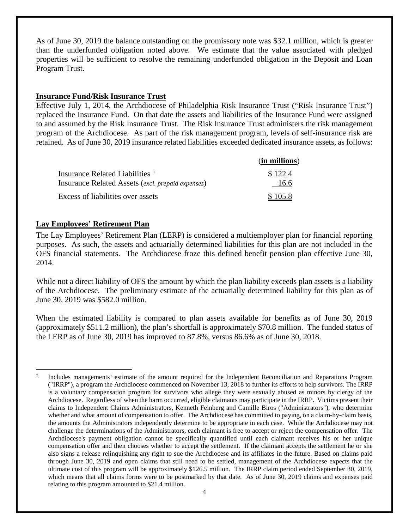As of June 30, 2019 the balance outstanding on the promissory note was \$32.1 million, which is greater than the underfunded obligation noted above. We estimate that the value associated with pledged properties will be sufficient to resolve the remaining underfunded obligation in the Deposit and Loan Program Trust.

#### **Insurance Fund/Risk Insurance Trust**

Effective July 1, 2014, the Archdiocese of Philadelphia Risk Insurance Trust ("Risk Insurance Trust") replaced the Insurance Fund. On that date the assets and liabilities of the Insurance Fund were assigned to and assumed by the Risk Insurance Trust. The Risk Insurance Trust administers the risk management program of the Archdiocese. As part of the risk management program, levels of self-insurance risk are retained. As of June 30, 2019 insurance related liabilities exceeded dedicated insurance assets, as follows:

|                                                   | (in millions) |
|---------------------------------------------------|---------------|
| Insurance Related Liabilities <sup>‡</sup>        | \$122.4       |
| Insurance Related Assets (excl. prepaid expenses) | 16.6          |
| Excess of liabilities over assets                 | \$105.8       |

#### **Lay Employees' Retirement Plan**

The Lay Employees' Retirement Plan (LERP) is considered a multiemployer plan for financial reporting purposes. As such, the assets and actuarially determined liabilities for this plan are not included in the OFS financial statements. The Archdiocese froze this defined benefit pension plan effective June 30, 2014.

While not a direct liability of OFS the amount by which the plan liability exceeds plan assets is a liability of the Archdiocese. The preliminary estimate of the actuarially determined liability for this plan as of June 30, 2019 was \$582.0 million.

When the estimated liability is compared to plan assets available for benefits as of June 30, 2019 (approximately \$511.2 million), the plan's shortfall is approximately \$70.8 million. The funded status of the LERP as of June 30, 2019 has improved to 87.8%, versus 86.6% as of June 30, 2018.

<span id="page-3-0"></span>Includes managements' estimate of the amount required for the Independent Reconciliation and Reparations Program ("IRRP"), a program the Archdiocese commenced on November 13, 2018 to further its efforts to help survivors. The IRRP is a voluntary compensation program for survivors who allege they were sexually abused as minors by clergy of the Archdiocese. Regardless of when the harm occurred, eligible claimants may participate in the IRRP. Victims present their claims to Independent Claims Administrators, Kenneth Feinberg and Camille Biros ("Administrators"), who determine whether and what amount of compensation to offer. The Archdiocese has committed to paying, on a claim-by-claim basis, the amounts the Administrators independently determine to be appropriate in each case. While the Archdiocese may not challenge the determinations of the Administrators, each claimant is free to accept or reject the compensation offer. The Archdiocese's payment obligation cannot be specifically quantified until each claimant receives his or her unique compensation offer and then chooses whether to accept the settlement. If the claimant accepts the settlement he or she also signs a release relinquishing any right to sue the Archdiocese and its affiliates in the future. Based on claims paid through June 30, 2019 and open claims that still need to be settled, management of the Archdiocese expects that the ultimate cost of this program will be approximately \$126.5 million. The IRRP claim period ended September 30, 2019, which means that all claims forms were to be postmarked by that date. As of June 30, 2019 claims and expenses paid relating to this program amounted to \$21.4 million.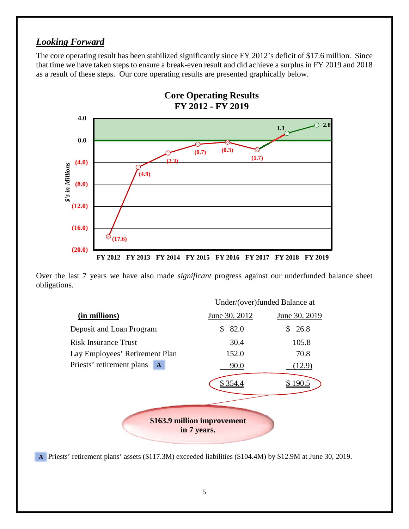## *Looking Forward*

The core operating result has been stabilized significantly since FY 2012's deficit of \$17.6 million. Since that time we have taken steps to ensure a break-even result and did achieve a surplus in FY 2019 and 2018 as a result of these steps. Our core operating results are presented graphically below.



Over the last 7 years we have also made *significant* progress against our underfunded balance sheet obligations.



Priests' retirement plans' assets (\$117.3M) exceeded liabilities (\$104.4M) by \$12.9M at June 30, 2019. **A**